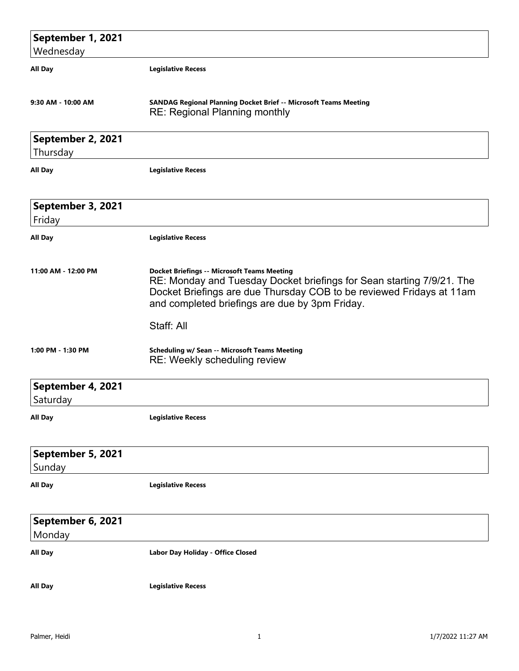| September 1, 2021             |                                                                                                                                                                                                                                                       |
|-------------------------------|-------------------------------------------------------------------------------------------------------------------------------------------------------------------------------------------------------------------------------------------------------|
| Wednesday                     |                                                                                                                                                                                                                                                       |
| <b>All Day</b>                | <b>Legislative Recess</b>                                                                                                                                                                                                                             |
|                               |                                                                                                                                                                                                                                                       |
| 9:30 AM - 10:00 AM            | <b>SANDAG Regional Planning Docket Brief -- Microsoft Teams Meeting</b><br><b>RE: Regional Planning monthly</b>                                                                                                                                       |
| September 2, 2021<br>Thursday |                                                                                                                                                                                                                                                       |
| <b>All Day</b>                | <b>Legislative Recess</b>                                                                                                                                                                                                                             |
| September 3, 2021<br>Friday   |                                                                                                                                                                                                                                                       |
| All Day                       | <b>Legislative Recess</b>                                                                                                                                                                                                                             |
| 11:00 AM - 12:00 PM           | <b>Docket Briefings -- Microsoft Teams Meeting</b><br>RE: Monday and Tuesday Docket briefings for Sean starting 7/9/21. The<br>Docket Briefings are due Thursday COB to be reviewed Fridays at 11am<br>and completed briefings are due by 3pm Friday. |
|                               | Staff: All                                                                                                                                                                                                                                            |
| 1:00 PM - 1:30 PM             | <b>Scheduling w/ Sean -- Microsoft Teams Meeting</b><br>RE: Weekly scheduling review                                                                                                                                                                  |
| September 4, 2021             |                                                                                                                                                                                                                                                       |
| Saturday                      |                                                                                                                                                                                                                                                       |
| All Day                       | <b>Legislative Recess</b>                                                                                                                                                                                                                             |
| September 5, 2021             |                                                                                                                                                                                                                                                       |
| Sunday                        |                                                                                                                                                                                                                                                       |
| All Day                       | <b>Legislative Recess</b>                                                                                                                                                                                                                             |
| September 6, 2021<br>Monday   |                                                                                                                                                                                                                                                       |
| All Day                       | Labor Day Holiday - Office Closed                                                                                                                                                                                                                     |
| <b>All Day</b>                | <b>Legislative Recess</b>                                                                                                                                                                                                                             |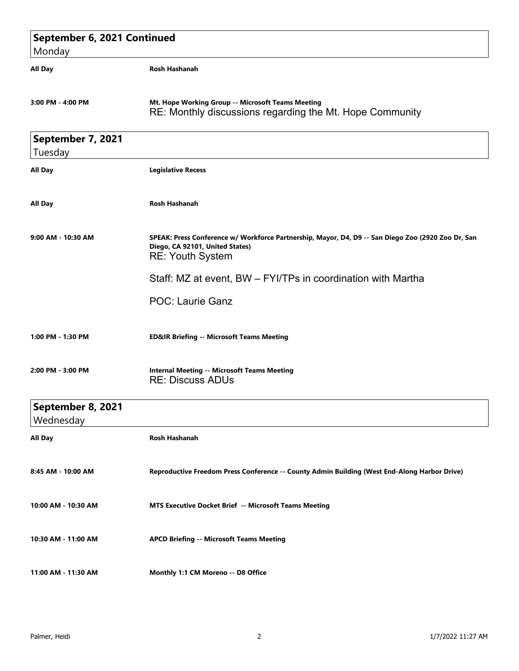| September 6, 2021 Continued    |                                                                                                                                                                  |
|--------------------------------|------------------------------------------------------------------------------------------------------------------------------------------------------------------|
| Monday                         |                                                                                                                                                                  |
| <b>All Day</b>                 | <b>Rosh Hashanah</b>                                                                                                                                             |
| 3:00 PM - 4:00 PM              | Mt. Hope Working Group -- Microsoft Teams Meeting<br>RE: Monthly discussions regarding the Mt. Hope Community                                                    |
| September 7, 2021              |                                                                                                                                                                  |
| Tuesday                        |                                                                                                                                                                  |
| <b>All Day</b>                 | <b>Legislative Recess</b>                                                                                                                                        |
| <b>All Day</b>                 | <b>Rosh Hashanah</b>                                                                                                                                             |
| 9:00 AM - 10:30 AM             | SPEAK: Press Conference w/ Workforce Partnership, Mayor, D4, D9 -- San Diego Zoo (2920 Zoo Dr, San<br>Diego, CA 92101, United States)<br><b>RE: Youth System</b> |
|                                | Staff: MZ at event, BW - FYI/TPs in coordination with Martha                                                                                                     |
|                                | POC: Laurie Ganz                                                                                                                                                 |
| 1:00 PM - 1:30 PM              | <b>ED&amp;IR Briefing -- Microsoft Teams Meeting</b>                                                                                                             |
| 2:00 PM - 3:00 PM              | <b>Internal Meeting -- Microsoft Teams Meeting</b><br><b>RE: Discuss ADUs</b>                                                                                    |
| September 8, 2021<br>Wednesday |                                                                                                                                                                  |
| <b>All Day</b>                 | Rosh Hashanah                                                                                                                                                    |
| 8:45 AM - 10:00 AM             | Reproductive Freedom Press Conference -- County Admin Building (West End-Along Harbor Drive)                                                                     |
| 10:00 AM - 10:30 AM            | MTS Executive Docket Brief -- Microsoft Teams Meeting                                                                                                            |
| 10:30 AM - 11:00 AM            | <b>APCD Briefing -- Microsoft Teams Meeting</b>                                                                                                                  |
| 11:00 AM - 11:30 AM            | Monthly 1:1 CM Moreno -- D8 Office                                                                                                                               |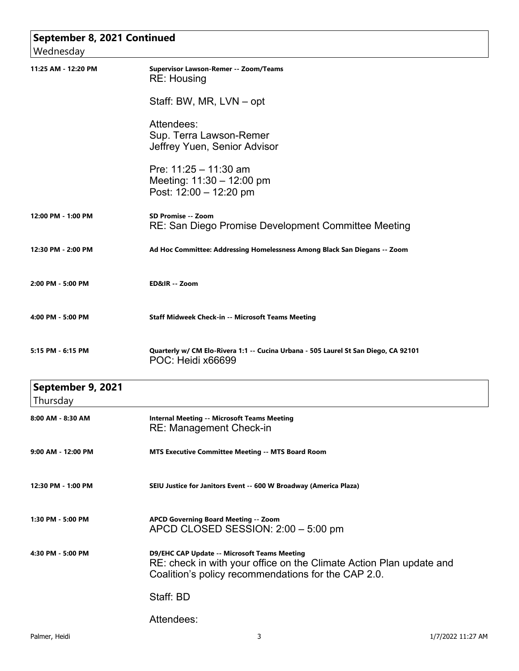| September 8, 2021 Continued   |                                                                                                                                                                                   |
|-------------------------------|-----------------------------------------------------------------------------------------------------------------------------------------------------------------------------------|
| Wednesday                     |                                                                                                                                                                                   |
| 11:25 AM - 12:20 PM           | Supervisor Lawson-Remer -- Zoom/Teams<br><b>RE: Housing</b>                                                                                                                       |
|                               | Staff: BW, MR, LVN – opt                                                                                                                                                          |
|                               | Attendees:<br>Sup. Terra Lawson-Remer<br>Jeffrey Yuen, Senior Advisor                                                                                                             |
|                               | Pre: $11:25 - 11:30$ am<br>Meeting: $11:30 - 12:00$ pm<br>Post: 12:00 - 12:20 pm                                                                                                  |
| 12:00 PM - 1:00 PM            | SD Promise -- Zoom<br>RE: San Diego Promise Development Committee Meeting                                                                                                         |
| 12:30 PM - 2:00 PM            | Ad Hoc Committee: Addressing Homelessness Among Black San Diegans -- Zoom                                                                                                         |
| 2:00 PM - 5:00 PM             | ED&IR -- Zoom                                                                                                                                                                     |
| 4:00 PM - 5:00 PM             | <b>Staff Midweek Check-in -- Microsoft Teams Meeting</b>                                                                                                                          |
| 5:15 PM - 6:15 PM             | Quarterly w/ CM Elo-Rivera 1:1 -- Cucina Urbana - 505 Laurel St San Diego, CA 92101<br>POC: Heidi x66699                                                                          |
| September 9, 2021<br>Thursday |                                                                                                                                                                                   |
| 8:00 AM - 8:30 AM             | <b>Internal Meeting -- Microsoft Teams Meeting</b><br>RE: Management Check-in                                                                                                     |
| 9:00 AM - 12:00 PM            | <b>MTS Executive Committee Meeting -- MTS Board Room</b>                                                                                                                          |
| 12:30 PM - 1:00 PM            | SEIU Justice for Janitors Event -- 600 W Broadway (America Plaza)                                                                                                                 |
| 1:30 PM - 5:00 PM             | APCD Governing Board Meeting -- Zoom<br>APCD CLOSED SESSION: 2:00 - 5:00 pm                                                                                                       |
| 4:30 PM - 5:00 PM             | <b>D9/EHC CAP Update -- Microsoft Teams Meeting</b><br>RE: check in with your office on the Climate Action Plan update and<br>Coalition's policy recommendations for the CAP 2.0. |
|                               | Staff: BD                                                                                                                                                                         |
|                               | Attendees:                                                                                                                                                                        |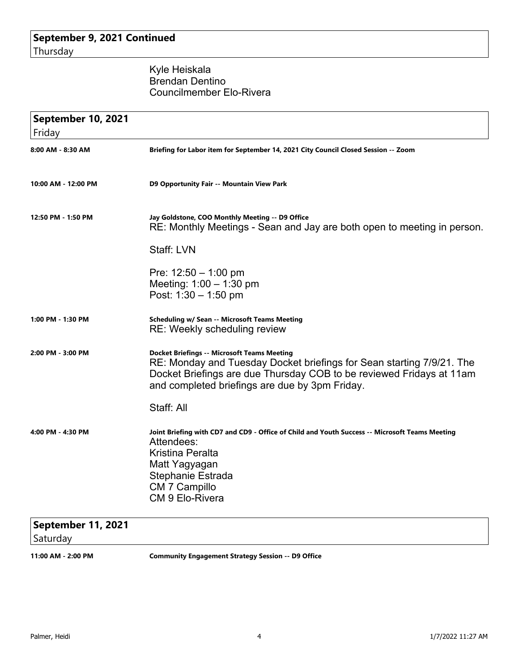## Kyle Heiskala Brendan Dentino Councilmember Elo-Rivera

| September 10, 2021<br>Friday |                                                                                                                                                                                                                                                       |
|------------------------------|-------------------------------------------------------------------------------------------------------------------------------------------------------------------------------------------------------------------------------------------------------|
| 8:00 AM - 8:30 AM            | Briefing for Labor item for September 14, 2021 City Council Closed Session -- Zoom                                                                                                                                                                    |
| 10:00 AM - 12:00 PM          | D9 Opportunity Fair -- Mountain View Park                                                                                                                                                                                                             |
| 12:50 PM - 1:50 PM           | Jay Goldstone, COO Monthly Meeting -- D9 Office<br>RE: Monthly Meetings - Sean and Jay are both open to meeting in person.                                                                                                                            |
|                              | Staff: LVN                                                                                                                                                                                                                                            |
|                              | Pre: $12:50 - 1:00$ pm<br>Meeting: $1:00 - 1:30$ pm<br>Post: $1:30 - 1:50$ pm                                                                                                                                                                         |
| 1:00 PM - 1:30 PM            | <b>Scheduling w/ Sean -- Microsoft Teams Meeting</b><br>RE: Weekly scheduling review                                                                                                                                                                  |
| 2:00 PM - 3:00 PM            | <b>Docket Briefings -- Microsoft Teams Meeting</b><br>RE: Monday and Tuesday Docket briefings for Sean starting 7/9/21. The<br>Docket Briefings are due Thursday COB to be reviewed Fridays at 11am<br>and completed briefings are due by 3pm Friday. |
|                              | Staff: All                                                                                                                                                                                                                                            |
| 4:00 PM - 4:30 PM            | Joint Briefing with CD7 and CD9 - Office of Child and Youth Success -- Microsoft Teams Meeting<br>Attendees:<br><b>Kristina Peralta</b><br>Matt Yagyagan<br>Stephanie Estrada<br>CM 7 Campillo<br><b>CM 9 Elo-Rivera</b>                              |
|                              |                                                                                                                                                                                                                                                       |

## **September 11, 2021** Saturday

**11:00 AM - 2:00 PM Community Engagement Strategy Session -- D9 Office**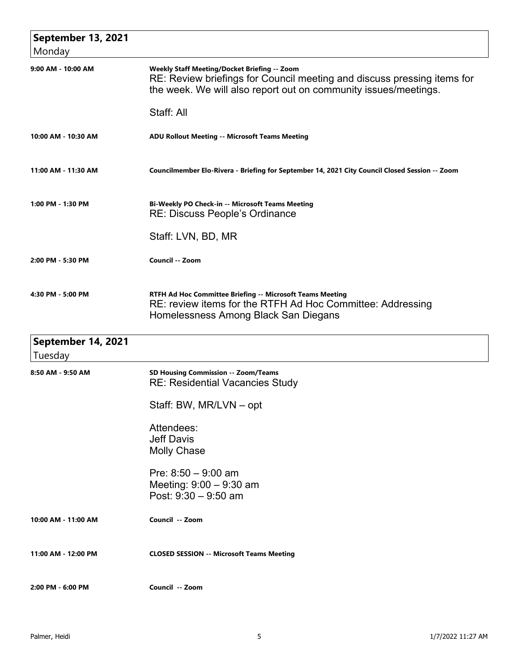| September 13, 2021<br>Monday  |                                                                                                                                                                                                   |
|-------------------------------|---------------------------------------------------------------------------------------------------------------------------------------------------------------------------------------------------|
| 9:00 AM - 10:00 AM            | <b>Weekly Staff Meeting/Docket Briefing -- Zoom</b><br>RE: Review briefings for Council meeting and discuss pressing items for<br>the week. We will also report out on community issues/meetings. |
|                               | Staff: All                                                                                                                                                                                        |
| 10:00 AM - 10:30 AM           | <b>ADU Rollout Meeting -- Microsoft Teams Meeting</b>                                                                                                                                             |
| 11:00 AM - 11:30 AM           | Councilmember Elo-Rivera - Briefing for September 14, 2021 City Council Closed Session -- Zoom                                                                                                    |
| 1:00 PM - 1:30 PM             | Bi-Weekly PO Check-in -- Microsoft Teams Meeting<br><b>RE: Discuss People's Ordinance</b>                                                                                                         |
|                               | Staff: LVN, BD, MR                                                                                                                                                                                |
| 2:00 PM - 5:30 PM             | Council -- Zoom                                                                                                                                                                                   |
| 4:30 PM - 5:00 PM             | RTFH Ad Hoc Committee Briefing -- Microsoft Teams Meeting<br>RE: review items for the RTFH Ad Hoc Committee: Addressing<br>Homelessness Among Black San Diegans                                   |
| September 14, 2021<br>Tuesday |                                                                                                                                                                                                   |
| 8:50 AM - 9:50 AM             | SD Housing Commission -- Zoom/Teams<br><b>RE: Residential Vacancies Study</b>                                                                                                                     |
|                               | Staff: BW, MR/LVN – opt                                                                                                                                                                           |
|                               | Attendees:<br><b>Jeff Davis</b><br><b>Molly Chase</b>                                                                                                                                             |
|                               | Pre: $8:50 - 9:00$ am<br>Meeting: $9:00 - 9:30$ am<br>Post: $9:30 - 9:50$ am                                                                                                                      |
| 10:00 AM - 11:00 AM           | Council -- Zoom                                                                                                                                                                                   |
| 11:00 AM - 12:00 PM           | <b>CLOSED SESSION -- Microsoft Teams Meeting</b>                                                                                                                                                  |
| 2:00 PM - 6:00 PM             | Council -- Zoom                                                                                                                                                                                   |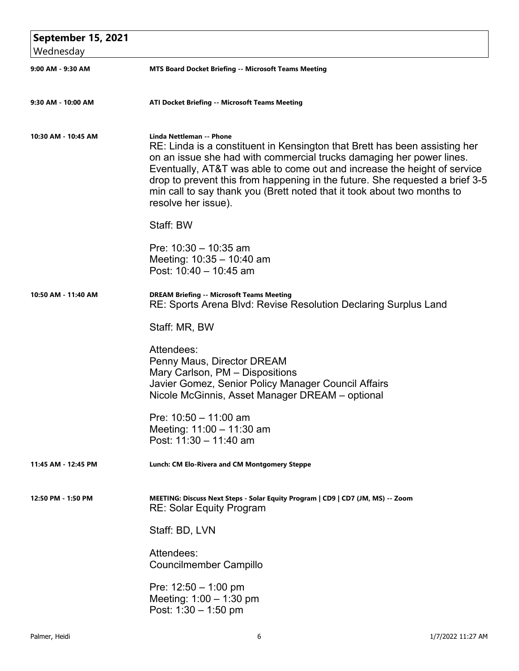| September 15, 2021  |                                                                                                                                                                                                                                                                                                                                                                                                                                              |
|---------------------|----------------------------------------------------------------------------------------------------------------------------------------------------------------------------------------------------------------------------------------------------------------------------------------------------------------------------------------------------------------------------------------------------------------------------------------------|
| Wednesday           |                                                                                                                                                                                                                                                                                                                                                                                                                                              |
| 9:00 AM - 9:30 AM   | <b>MTS Board Docket Briefing -- Microsoft Teams Meeting</b>                                                                                                                                                                                                                                                                                                                                                                                  |
| 9:30 AM - 10:00 AM  | ATI Docket Briefing -- Microsoft Teams Meeting                                                                                                                                                                                                                                                                                                                                                                                               |
| 10:30 AM - 10:45 AM | Linda Nettleman -- Phone<br>RE: Linda is a constituent in Kensington that Brett has been assisting her<br>on an issue she had with commercial trucks damaging her power lines.<br>Eventually, AT&T was able to come out and increase the height of service<br>drop to prevent this from happening in the future. She requested a brief 3-5<br>min call to say thank you (Brett noted that it took about two months to<br>resolve her issue). |
|                     | Staff: BW                                                                                                                                                                                                                                                                                                                                                                                                                                    |
|                     | Pre: $10:30 - 10:35$ am<br>Meeting: 10:35 - 10:40 am<br>Post: 10:40 - 10:45 am                                                                                                                                                                                                                                                                                                                                                               |
| 10:50 AM - 11:40 AM | <b>DREAM Briefing -- Microsoft Teams Meeting</b><br>RE: Sports Arena Blvd: Revise Resolution Declaring Surplus Land                                                                                                                                                                                                                                                                                                                          |
|                     | Staff: MR, BW                                                                                                                                                                                                                                                                                                                                                                                                                                |
|                     | Attendees:<br>Penny Maus, Director DREAM<br>Mary Carlson, PM - Dispositions<br>Javier Gomez, Senior Policy Manager Council Affairs<br>Nicole McGinnis, Asset Manager DREAM - optional                                                                                                                                                                                                                                                        |
|                     | Pre: $10:50 - 11:00$ am<br>Meeting: 11:00 - 11:30 am<br>Post: 11:30 - 11:40 am                                                                                                                                                                                                                                                                                                                                                               |
| 11:45 AM - 12:45 PM | Lunch: CM Elo-Rivera and CM Montgomery Steppe                                                                                                                                                                                                                                                                                                                                                                                                |
| 12:50 PM - 1:50 PM  | MEETING: Discuss Next Steps - Solar Equity Program   CD9   CD7 (JM, MS) -- Zoom<br><b>RE: Solar Equity Program</b>                                                                                                                                                                                                                                                                                                                           |
|                     | Staff: BD, LVN                                                                                                                                                                                                                                                                                                                                                                                                                               |
|                     | Attendees:<br><b>Councilmember Campillo</b>                                                                                                                                                                                                                                                                                                                                                                                                  |
|                     | Pre: $12:50 - 1:00$ pm<br>Meeting: $1:00 - 1:30$ pm<br>Post: $1:30 - 1:50$ pm                                                                                                                                                                                                                                                                                                                                                                |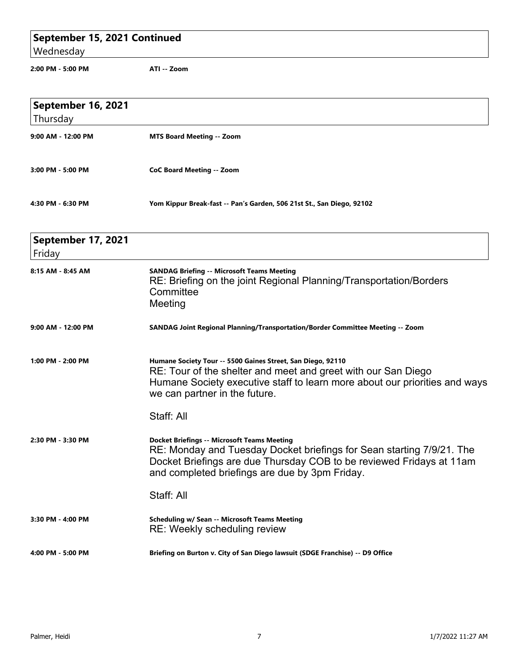## **September 15, 2021 Continued**

Wednesday

**2:00 PM - 5:00 PM ATI -- Zoom**

| September 16, 2021<br>Thursday |                                                                                                                                                                                                                                                       |
|--------------------------------|-------------------------------------------------------------------------------------------------------------------------------------------------------------------------------------------------------------------------------------------------------|
| 9:00 AM - 12:00 PM             | <b>MTS Board Meeting -- Zoom</b>                                                                                                                                                                                                                      |
| 3:00 PM - 5:00 PM              | <b>CoC Board Meeting -- Zoom</b>                                                                                                                                                                                                                      |
| 4:30 PM - 6:30 PM              | Yom Kippur Break-fast -- Pan's Garden, 506 21st St., San Diego, 92102                                                                                                                                                                                 |
| September 17, 2021<br>Friday   |                                                                                                                                                                                                                                                       |
| 8:15 AM - 8:45 AM              | <b>SANDAG Briefing -- Microsoft Teams Meeting</b><br>RE: Briefing on the joint Regional Planning/Transportation/Borders<br>Committee<br>Meeting                                                                                                       |
| 9:00 AM - 12:00 PM             | SANDAG Joint Regional Planning/Transportation/Border Committee Meeting -- Zoom                                                                                                                                                                        |
| 1:00 PM - 2:00 PM              | Humane Society Tour -- 5500 Gaines Street, San Diego, 92110<br>RE: Tour of the shelter and meet and greet with our San Diego<br>Humane Society executive staff to learn more about our priorities and ways<br>we can partner in the future.           |
|                                | Staff: All                                                                                                                                                                                                                                            |
| 2:30 PM - 3:30 PM              | <b>Docket Briefings -- Microsoft Teams Meeting</b><br>RE: Monday and Tuesday Docket briefings for Sean starting 7/9/21. The<br>Docket Briefings are due Thursday COB to be reviewed Fridays at 11am<br>and completed briefings are due by 3pm Friday. |
|                                | Staff: All                                                                                                                                                                                                                                            |
| 3:30 PM - 4:00 PM              | <b>Scheduling w/ Sean -- Microsoft Teams Meeting</b><br>RE: Weekly scheduling review                                                                                                                                                                  |
| 4:00 PM - 5:00 PM              | Briefing on Burton v. City of San Diego lawsuit (SDGE Franchise) -- D9 Office                                                                                                                                                                         |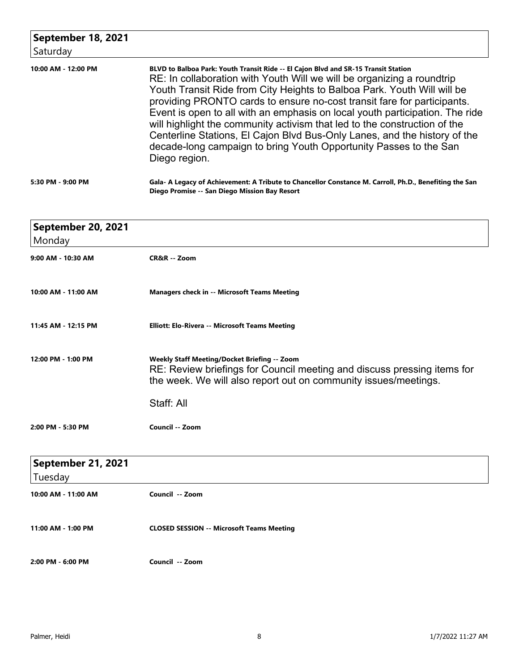| September 18, 2021<br>Saturday |                                                                                                                                                                                                                                                                                                                                                                                                                                                                                                                                                                                                                                                    |
|--------------------------------|----------------------------------------------------------------------------------------------------------------------------------------------------------------------------------------------------------------------------------------------------------------------------------------------------------------------------------------------------------------------------------------------------------------------------------------------------------------------------------------------------------------------------------------------------------------------------------------------------------------------------------------------------|
| 10:00 AM - 12:00 PM            | BLVD to Balboa Park: Youth Transit Ride -- El Cajon Blvd and SR-15 Transit Station<br>RE: In collaboration with Youth Will we will be organizing a roundtrip<br>Youth Transit Ride from City Heights to Balboa Park. Youth Will will be<br>providing PRONTO cards to ensure no-cost transit fare for participants.<br>Event is open to all with an emphasis on local youth participation. The ride<br>will highlight the community activism that led to the construction of the<br>Centerline Stations, El Cajon Blvd Bus-Only Lanes, and the history of the<br>decade-long campaign to bring Youth Opportunity Passes to the San<br>Diego region. |
| 5:30 PM - 9:00 PM              | Gala- A Legacy of Achievement: A Tribute to Chancellor Constance M. Carroll, Ph.D., Benefiting the San<br>Diego Promise -- San Diego Mission Bay Resort                                                                                                                                                                                                                                                                                                                                                                                                                                                                                            |

| September 20, 2021            |                                                                                                                                                                                            |
|-------------------------------|--------------------------------------------------------------------------------------------------------------------------------------------------------------------------------------------|
| Monday                        |                                                                                                                                                                                            |
| 9:00 AM - 10:30 AM            | CR&R -- Zoom                                                                                                                                                                               |
| 10:00 AM - 11:00 AM           | <b>Managers check in -- Microsoft Teams Meeting</b>                                                                                                                                        |
| 11:45 AM - 12:15 PM           | Elliott: Elo-Rivera -- Microsoft Teams Meeting                                                                                                                                             |
| 12:00 PM - 1:00 PM            | Weekly Staff Meeting/Docket Briefing -- Zoom<br>RE: Review briefings for Council meeting and discuss pressing items for<br>the week. We will also report out on community issues/meetings. |
|                               | Staff: All                                                                                                                                                                                 |
| 2:00 PM - 5:30 PM             | Council -- Zoom                                                                                                                                                                            |
|                               |                                                                                                                                                                                            |
| September 21, 2021<br>Tuesday |                                                                                                                                                                                            |
| 10:00 AM - 11:00 AM           | Council -- Zoom                                                                                                                                                                            |
| 11:00 AM - 1:00 PM            | <b>CLOSED SESSION -- Microsoft Teams Meeting</b>                                                                                                                                           |
| 2:00 PM - 6:00 PM             | Council -- Zoom                                                                                                                                                                            |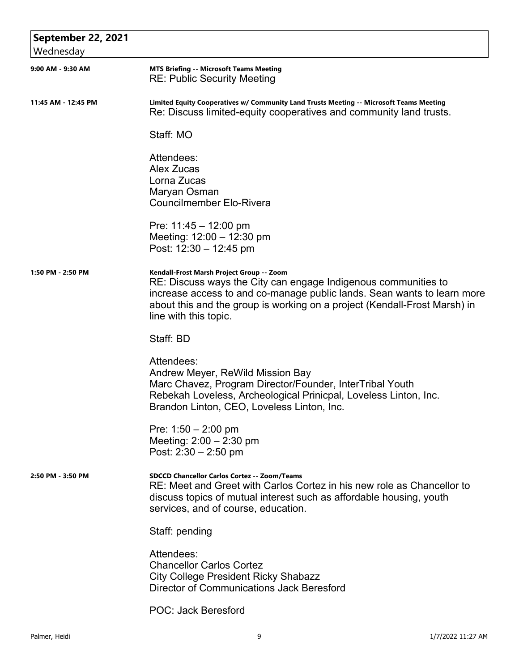| September 22, 2021  |                                                                                                                                                                                                                                                                                              |
|---------------------|----------------------------------------------------------------------------------------------------------------------------------------------------------------------------------------------------------------------------------------------------------------------------------------------|
| Wednesday           |                                                                                                                                                                                                                                                                                              |
| 9:00 AM - 9:30 AM   | <b>MTS Briefing -- Microsoft Teams Meeting</b><br><b>RE: Public Security Meeting</b>                                                                                                                                                                                                         |
| 11:45 AM - 12:45 PM | Limited Equity Cooperatives w/ Community Land Trusts Meeting -- Microsoft Teams Meeting<br>Re: Discuss limited-equity cooperatives and community land trusts.                                                                                                                                |
|                     | Staff: MO                                                                                                                                                                                                                                                                                    |
|                     | Attendees:<br><b>Alex Zucas</b><br>Lorna Zucas<br>Maryan Osman<br><b>Councilmember Elo-Rivera</b>                                                                                                                                                                                            |
|                     | Pre: $11:45 - 12:00$ pm<br>Meeting: 12:00 - 12:30 pm<br>Post: $12:30 - 12:45$ pm                                                                                                                                                                                                             |
| 1:50 PM - 2:50 PM   | Kendall-Frost Marsh Project Group -- Zoom<br>RE: Discuss ways the City can engage Indigenous communities to<br>increase access to and co-manage public lands. Sean wants to learn more<br>about this and the group is working on a project (Kendall-Frost Marsh) in<br>line with this topic. |
|                     | Staff: BD                                                                                                                                                                                                                                                                                    |
|                     | Attendees:<br>Andrew Meyer, ReWild Mission Bay<br>Marc Chavez, Program Director/Founder, InterTribal Youth<br>Rebekah Loveless, Archeological Prinicpal, Loveless Linton, Inc.<br>Brandon Linton, CEO, Loveless Linton, Inc.                                                                 |
|                     | Pre: $1:50 - 2:00$ pm<br>Meeting: $2:00 - 2:30$ pm<br>Post: $2:30 - 2:50$ pm                                                                                                                                                                                                                 |
| 2:50 PM - 3:50 PM   | <b>SDCCD Chancellor Carlos Cortez -- Zoom/Teams</b><br>RE: Meet and Greet with Carlos Cortez in his new role as Chancellor to<br>discuss topics of mutual interest such as affordable housing, youth<br>services, and of course, education.                                                  |
|                     | Staff: pending                                                                                                                                                                                                                                                                               |
|                     | Attendees:<br><b>Chancellor Carlos Cortez</b><br><b>City College President Ricky Shabazz</b><br>Director of Communications Jack Beresford                                                                                                                                                    |
|                     | <b>POC: Jack Beresford</b>                                                                                                                                                                                                                                                                   |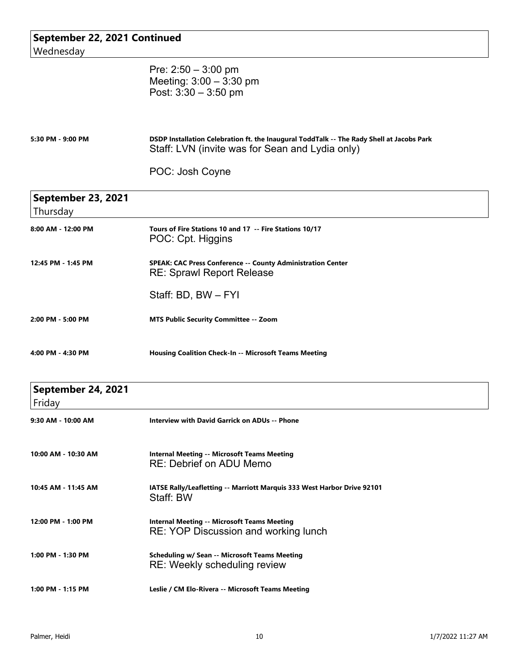| September 22, 2021 Continued<br>Wednesday |                                                                                                                                              |
|-------------------------------------------|----------------------------------------------------------------------------------------------------------------------------------------------|
|                                           | Pre: $2:50 - 3:00$ pm<br>Meeting: $3:00 - 3:30$ pm<br>Post: $3:30 - 3:50$ pm                                                                 |
| 5:30 PM - 9:00 PM                         | DSDP Installation Celebration ft. the Inaugural ToddTalk -- The Rady Shell at Jacobs Park<br>Staff: LVN (invite was for Sean and Lydia only) |
|                                           | POC: Josh Coyne                                                                                                                              |
| September 23, 2021<br>Thursday            |                                                                                                                                              |
| 8:00 AM - 12:00 PM                        | Tours of Fire Stations 10 and 17 -- Fire Stations 10/17<br>POC: Cpt. Higgins                                                                 |
| 12:45 PM - 1:45 PM                        | SPEAK: CAC Press Conference -- County Administration Center<br><b>RE: Sprawl Report Release</b>                                              |
|                                           | Staff: BD, BW - FYI                                                                                                                          |
| 2:00 PM - 5:00 PM                         | <b>MTS Public Security Committee -- Zoom</b>                                                                                                 |
| 4:00 PM - 4:30 PM                         | <b>Housing Coalition Check-In -- Microsoft Teams Meeting</b>                                                                                 |
| September 24, 2021<br>Friday              |                                                                                                                                              |
| 9:30 AM - 10:00 AM                        | <b>Interview with David Garrick on ADUs -- Phone</b>                                                                                         |
| 10:00 AM - 10:30 AM                       | <b>Internal Meeting -- Microsoft Teams Meeting</b><br>RE: Debrief on ADU Memo                                                                |
| 10:45 AM - 11:45 AM                       | IATSE Rally/Leafletting -- Marriott Marquis 333 West Harbor Drive 92101<br>Staff: BW                                                         |
| 12:00 PM - 1:00 PM                        | <b>Internal Meeting -- Microsoft Teams Meeting</b><br>RE: YOP Discussion and working lunch                                                   |
| 1:00 PM - 1:30 PM                         | <b>Scheduling w/ Sean -- Microsoft Teams Meeting</b><br>RE: Weekly scheduling review                                                         |
| 1:00 PM - 1:15 PM                         | Leslie / CM Elo-Rivera -- Microsoft Teams Meeting                                                                                            |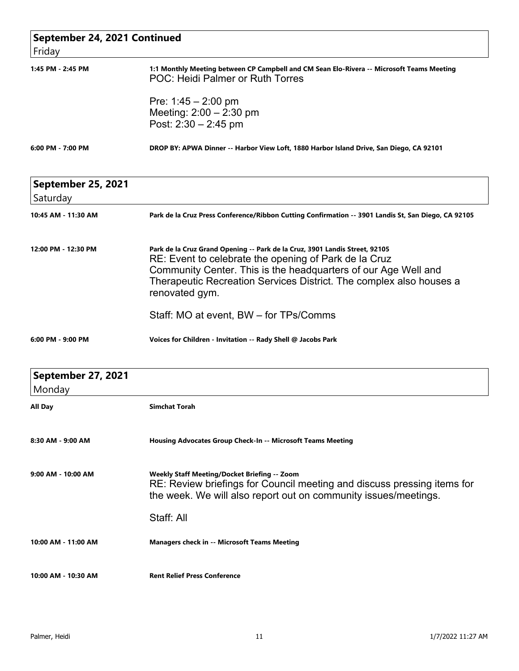| September 24, 2021 Continued |                                                                                                                                                                                                                                                                                                 |
|------------------------------|-------------------------------------------------------------------------------------------------------------------------------------------------------------------------------------------------------------------------------------------------------------------------------------------------|
| Friday                       |                                                                                                                                                                                                                                                                                                 |
| 1:45 PM - 2:45 PM            | 1:1 Monthly Meeting between CP Campbell and CM Sean Elo-Rivera -- Microsoft Teams Meeting<br><b>POC: Heidi Palmer or Ruth Torres</b>                                                                                                                                                            |
|                              | Pre: $1:45 - 2:00$ pm                                                                                                                                                                                                                                                                           |
|                              | Meeting: $2:00 - 2:30$ pm                                                                                                                                                                                                                                                                       |
|                              | Post: $2:30 - 2:45$ pm                                                                                                                                                                                                                                                                          |
| 6:00 PM - 7:00 PM            | DROP BY: APWA Dinner -- Harbor View Loft, 1880 Harbor Island Drive, San Diego, CA 92101                                                                                                                                                                                                         |
| September 25, 2021           |                                                                                                                                                                                                                                                                                                 |
| Saturday                     |                                                                                                                                                                                                                                                                                                 |
| 10:45 AM - 11:30 AM          | Park de la Cruz Press Conference/Ribbon Cutting Confirmation -- 3901 Landis St, San Diego, CA 92105                                                                                                                                                                                             |
| 12:00 PM - 12:30 PM          | Park de la Cruz Grand Opening -- Park de la Cruz, 3901 Landis Street, 92105<br>RE: Event to celebrate the opening of Park de la Cruz<br>Community Center. This is the headquarters of our Age Well and<br>Therapeutic Recreation Services District. The complex also houses a<br>renovated gym. |
|                              | Staff: MO at event, BW - for TPs/Comms                                                                                                                                                                                                                                                          |
| 6:00 PM - 9:00 PM            | Voices for Children - Invitation -- Rady Shell @ Jacobs Park                                                                                                                                                                                                                                    |
| September 27, 2021           |                                                                                                                                                                                                                                                                                                 |
| Monday                       |                                                                                                                                                                                                                                                                                                 |
| All Day                      | <b>Simchat Torah</b>                                                                                                                                                                                                                                                                            |
| 8:30 AM - 9:00 AM            | Housing Advocates Group Check-In -- Microsoft Teams Meeting                                                                                                                                                                                                                                     |
| 9:00 AM - 10:00 AM           | <b>Weekly Staff Meeting/Docket Briefing -- Zoom</b><br>RE: Review briefings for Council meeting and discuss pressing items for<br>the week. We will also report out on community issues/meetings.                                                                                               |
|                              | Staff: All                                                                                                                                                                                                                                                                                      |
| 10:00 AM - 11:00 AM          | <b>Managers check in -- Microsoft Teams Meeting</b>                                                                                                                                                                                                                                             |
| 10:00 AM - 10:30 AM          | <b>Rent Relief Press Conference</b>                                                                                                                                                                                                                                                             |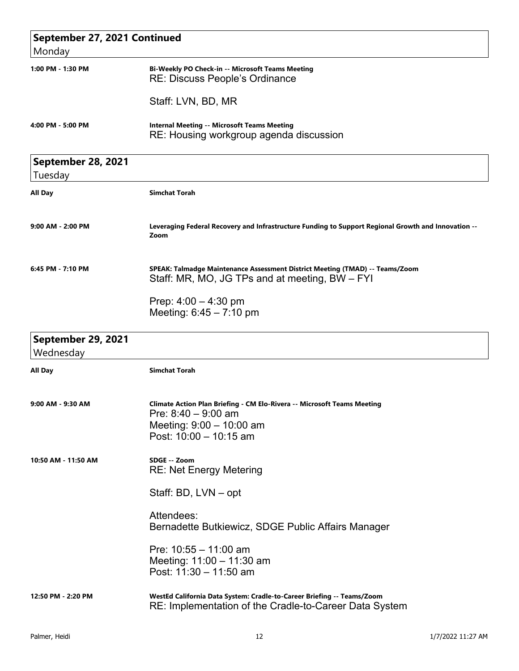| September 27, 2021 Continued<br>Monday |                                                                                                                                                                 |  |
|----------------------------------------|-----------------------------------------------------------------------------------------------------------------------------------------------------------------|--|
|                                        |                                                                                                                                                                 |  |
|                                        | Staff: LVN, BD, MR                                                                                                                                              |  |
| 4:00 PM - 5:00 PM                      | <b>Internal Meeting -- Microsoft Teams Meeting</b><br>RE: Housing workgroup agenda discussion                                                                   |  |
| September 28, 2021<br>Tuesday          |                                                                                                                                                                 |  |
| All Day                                | <b>Simchat Torah</b>                                                                                                                                            |  |
| $9:00$ AM - 2:00 PM                    | Leveraging Federal Recovery and Infrastructure Funding to Support Regional Growth and Innovation --<br>Zoom                                                     |  |
| 6:45 PM - 7:10 PM                      | SPEAK: Talmadge Maintenance Assessment District Meeting (TMAD) -- Teams/Zoom<br>Staff: MR, MO, JG TPs and at meeting, BW – FYI                                  |  |
|                                        | Prep: $4:00 - 4:30$ pm<br>Meeting: $6:45 - 7:10$ pm                                                                                                             |  |
| September 29, 2021<br>Wednesday        |                                                                                                                                                                 |  |
| All Day                                | <b>Simchat Torah</b>                                                                                                                                            |  |
| 9:00 AM - 9:30 AM                      | <b>Climate Action Plan Briefing - CM Elo-Rivera -- Microsoft Teams Meeting</b><br>Pre: $8:40 - 9:00$ am<br>Meeting: $9:00 - 10:00$ am<br>Post: 10:00 - 10:15 am |  |
| 10:50 AM - 11:50 AM                    | SDGE -- Zoom<br><b>RE: Net Energy Metering</b>                                                                                                                  |  |
|                                        | Staff: BD, LVN - opt                                                                                                                                            |  |
|                                        | Attendees:<br>Bernadette Butkiewicz, SDGE Public Affairs Manager                                                                                                |  |
|                                        | Pre: $10:55 - 11:00$ am<br>Meeting: 11:00 - 11:30 am<br>Post: 11:30 - 11:50 am                                                                                  |  |
| 12:50 PM - 2:20 PM                     | WestEd California Data System: Cradle-to-Career Briefing -- Teams/Zoom<br>RE: Implementation of the Cradle-to-Career Data System                                |  |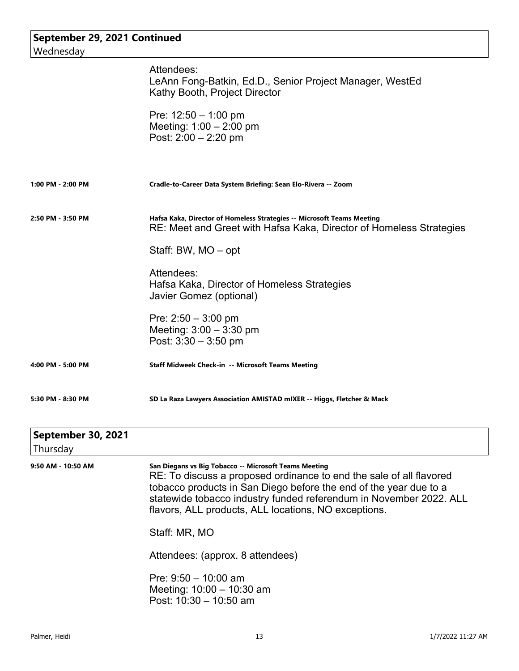## **September 29, 2021 Continued** Wednesday Attendees: LeAnn Fong-Batkin, Ed.D., Senior Project Manager, WestEd Kathy Booth, Project Director Pre: 12:50 – 1:00 pm Meeting: 1:00 – 2:00 pm Post: 2:00 – 2:20 pm **1:00 PM - 2:00 PM Cradle-to-Career Data System Briefing: Sean Elo-Rivera -- Zoom 2:50 PM - 3:50 PM Hafsa Kaka, Director of Homeless Strategies -- Microsoft Teams Meeting** RE: Meet and Greet with Hafsa Kaka, Director of Homeless Strategies Staff: BW, MO – opt Attendees: Hafsa Kaka, Director of Homeless Strategies Javier Gomez (optional) Pre: 2:50 – 3:00 pm Meeting: 3:00 – 3:30 pm Post: 3:30 – 3:50 pm **4:00 PM - 5:00 PM Staff Midweek Check-in -- Microsoft Teams Meeting 5:30 PM - 8:30 PM SD La Raza Lawyers Association AMISTAD mIXER -- Higgs, Fletcher & Mack September 30, 2021** Thursday

| 9:50 AM - 10:50 AM | San Diegans vs Big Tobacco -- Microsoft Teams Meeting<br>RE: To discuss a proposed ordinance to end the sale of all flavored<br>tobacco products in San Diego before the end of the year due to a<br>statewide tobacco industry funded referendum in November 2022. ALL<br>flavors, ALL products, ALL locations, NO exceptions. |
|--------------------|---------------------------------------------------------------------------------------------------------------------------------------------------------------------------------------------------------------------------------------------------------------------------------------------------------------------------------|
|                    | Staff: MR, MO                                                                                                                                                                                                                                                                                                                   |
|                    | Attendees: (approx. 8 attendees)                                                                                                                                                                                                                                                                                                |
|                    | Pre: $9:50 - 10:00$ am<br>Meeting: $10:00 - 10:30$ am<br>Post: $10:30 - 10:50$ am                                                                                                                                                                                                                                               |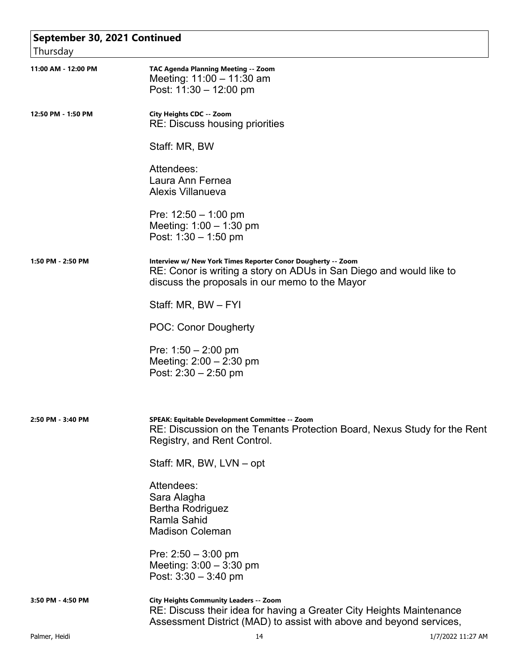| September 30, 2021 Continued |                                                                                                                                                                                              |  |
|------------------------------|----------------------------------------------------------------------------------------------------------------------------------------------------------------------------------------------|--|
| Thursday                     |                                                                                                                                                                                              |  |
| 11:00 AM - 12:00 PM          | <b>TAC Agenda Planning Meeting -- Zoom</b><br>Meeting: $11:00 - 11:30$ am<br>Post: $11:30 - 12:00$ pm                                                                                        |  |
| 12:50 PM - 1:50 PM           | City Heights CDC -- Zoom<br><b>RE: Discuss housing priorities</b>                                                                                                                            |  |
|                              | Staff: MR, BW                                                                                                                                                                                |  |
|                              | Attendees:<br>Laura Ann Fernea<br><b>Alexis Villanueva</b>                                                                                                                                   |  |
|                              | Pre: $12:50 - 1:00$ pm<br>Meeting: $1:00 - 1:30$ pm<br>Post: $1:30 - 1:50$ pm                                                                                                                |  |
| 1:50 PM - 2:50 PM            | Interview w/ New York Times Reporter Conor Dougherty -- Zoom<br>RE: Conor is writing a story on ADUs in San Diego and would like to<br>discuss the proposals in our memo to the Mayor        |  |
|                              | Staff: MR, BW - FYI                                                                                                                                                                          |  |
|                              | <b>POC: Conor Dougherty</b>                                                                                                                                                                  |  |
|                              | Pre: $1:50 - 2:00$ pm<br>Meeting: $2:00 - 2:30$ pm<br>Post: $2:30 - 2:50$ pm                                                                                                                 |  |
| 2:50 PM - 3:40 PM            | SPEAK: Equitable Development Committee -- Zoom<br>RE: Discussion on the Tenants Protection Board, Nexus Study for the Rent<br>Registry, and Rent Control.                                    |  |
|                              | Staff: MR, BW, LVN – opt                                                                                                                                                                     |  |
|                              | Attendees:<br>Sara Alagha<br>Bertha Rodriguez<br>Ramla Sahid<br><b>Madison Coleman</b>                                                                                                       |  |
|                              | Pre: $2:50 - 3:00$ pm<br>Meeting: $3:00 - 3:30$ pm<br>Post: $3:30 - 3:40$ pm                                                                                                                 |  |
| 3:50 PM - 4:50 PM            | <b>City Heights Community Leaders -- Zoom</b><br>RE: Discuss their idea for having a Greater City Heights Maintenance<br>Assessment District (MAD) to assist with above and beyond services, |  |
| Palmer, Heidi                | 14<br>1/7/2022 11:27 AM                                                                                                                                                                      |  |